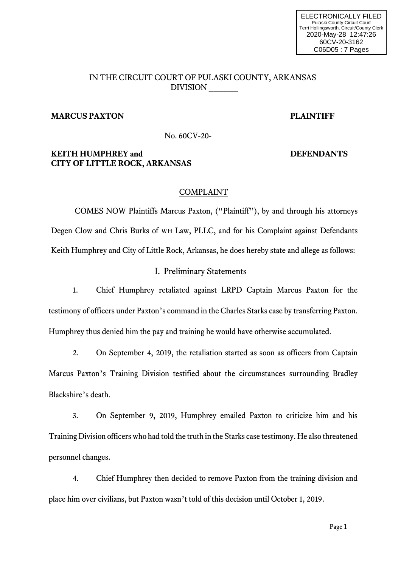# IN THE CIRCUIT COURT OF PULASKI COUNTY, ARKANSAS DIVISION \_\_\_\_\_\_

# **MARCUS PAXTON PLAINTIFF**

No. 60CV-20-

# **KEITH HUMPHREY and DEFENDANTS CITY OF LITTLE ROCK, ARKANSAS**

### COMPLAINT

COMES NOW Plaintiffs Marcus Paxton, ("Plaintiff"), by and through his attorneys Degen Clow and Chris Burks of WH Law, PLLC, and for his Complaint against Defendants Keith Humphrey and City of Little Rock, Arkansas, he does hereby state and allege as follows:

### I. Preliminary Statements

1. Chief Humphrey retaliated against LRPD Captain Marcus Paxton for the testimony of officers under Paxton's command in the Charles Starks case by transferring Paxton. Humphrey thus denied him the pay and training he would have otherwise accumulated.

2. On September 4, 2019, the retaliation started as soon as officers from Captain Marcus Paxton's Training Division testified about the circumstances surrounding Bradley Blackshire's death.

3. On September 9, 2019, Humphrey emailed Paxton to criticize him and his Training Division officers who had told the truth in the Starks case testimony. He also threatened personnel changes.

4. Chief Humphrey then decided to remove Paxton from the training division and place him over civilians, but Paxton wasn't told of this decision until October 1, 2019.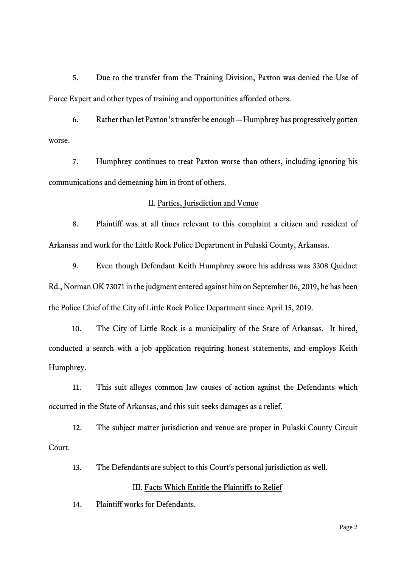5. Due to the transfer from the Training Division, Paxton was denied the Use of Force Expert and other types of training and opportunities afforded others.

6. Rather than let Paxton's transfer be enough—Humphrey has progressively gotten worse.

7. Humphrey continues to treat Paxton worse than others, including ignoring his communications and demeaning him in front of others.

### II. Parties, Jurisdiction and Venue

8. Plaintiff was at all times relevant to this complaint a citizen and resident of Arkansas and work for the Little Rock Police Department in Pulaski County, Arkansas.

9. Even though Defendant Keith Humphrey swore his address was 3308 Quidnet Rd., Norman OK 73071 in the judgment entered against him on September 06, 2019, he has been the Police Chief of the City of Little Rock Police Department since April 15, 2019.

10. The City of Little Rock is a municipality of the State of Arkansas. It hired, conducted a search with a job application requiring honest statements, and employs Keith Humphrey.

11. This suit alleges common law causes of action against the Defendants which occurred in the State of Arkansas, and this suit seeks damages as a relief.

12. The subject matter jurisdiction and venue are proper in Pulaski County Circuit Court.

13. The Defendants are subject to this Court's personal jurisdiction as well.

# III. Facts Which Entitle the Plaintiffs to Relief

14. Plaintiff works for Defendants.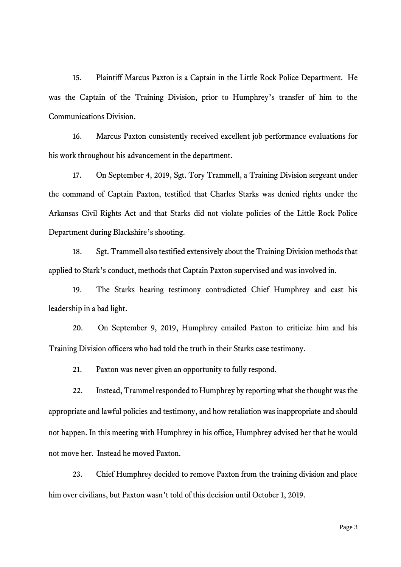15. Plaintiff Marcus Paxton is a Captain in the Little Rock Police Department. He was the Captain of the Training Division, prior to Humphrey's transfer of him to the Communications Division.

16. Marcus Paxton consistently received excellent job performance evaluations for his work throughout his advancement in the department.

17. On September 4, 2019, Sgt. Tory Trammell, a Training Division sergeant under the command of Captain Paxton, testified that Charles Starks was denied rights under the Arkansas Civil Rights Act and that Starks did not violate policies of the Little Rock Police Department during Blackshire's shooting.

18. Sgt. Trammell also testified extensively about the Training Division methods that applied to Stark's conduct, methods that Captain Paxton supervised and was involved in.

19. The Starks hearing testimony contradicted Chief Humphrey and cast his leadership in a bad light.

20. On September 9, 2019, Humphrey emailed Paxton to criticize him and his Training Division officers who had told the truth in their Starks case testimony.

21. Paxton was never given an opportunity to fully respond.

22. Instead, Trammel responded to Humphrey by reporting what she thought was the appropriate and lawful policies and testimony, and how retaliation was inappropriate and should not happen. In this meeting with Humphrey in his office, Humphrey advised her that he would not move her. Instead he moved Paxton.

23. Chief Humphrey decided to remove Paxton from the training division and place him over civilians, but Paxton wasn't told of this decision until October 1, 2019.

Page 3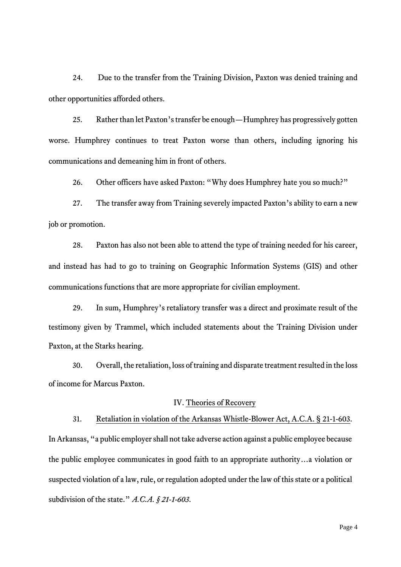24. Due to the transfer from the Training Division, Paxton was denied training and other opportunities afforded others.

25. Rather than let Paxton's transfer be enough—Humphrey has progressively gotten worse. Humphrey continues to treat Paxton worse than others, including ignoring his communications and demeaning him in front of others.

26. Other officers have asked Paxton: "Why does Humphrey hate you so much?"

27. The transfer away from Training severely impacted Paxton's ability to earn a new job or promotion.

28. Paxton has also not been able to attend the type of training needed for his career, and instead has had to go to training on Geographic Information Systems (GIS) and other communications functions that are more appropriate for civilian employment.

29. In sum, Humphrey's retaliatory transfer was a direct and proximate result of the testimony given by Trammel, which included statements about the Training Division under Paxton, at the Starks hearing.

30. Overall, the retaliation, loss of training and disparate treatment resulted in the loss of income for Marcus Paxton.

### IV. Theories of Recovery

#### 31. Retaliation in violation of the Arkansas Whistle-Blower Act, A.C.A. § 21-1-603.

In Arkansas, "a public employer shall not take adverse action against a public employee because the public employee communicates in good faith to an appropriate authority…a violation or suspected violation of a law, rule, or regulation adopted under the law of this state or a political subdivision of the state." *A.C.A. § 21-1-603*.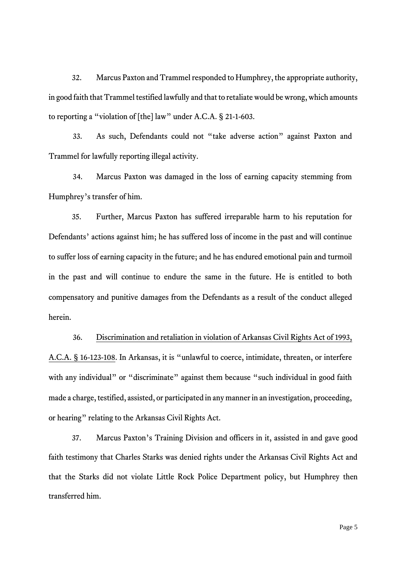32. Marcus Paxton and Trammel responded to Humphrey, the appropriate authority, in good faith that Trammel testified lawfully and that to retaliate would be wrong, which amounts to reporting a "violation of [the] law" under A.C.A. § 21-1-603.

33. As such, Defendants could not "take adverse action" against Paxton and Trammel for lawfully reporting illegal activity.

34. Marcus Paxton was damaged in the loss of earning capacity stemming from Humphrey's transfer of him.

35. Further, Marcus Paxton has suffered irreparable harm to his reputation for Defendants' actions against him; he has suffered loss of income in the past and will continue to suffer loss of earning capacity in the future; and he has endured emotional pain and turmoil in the past and will continue to endure the same in the future. He is entitled to both compensatory and punitive damages from the Defendants as a result of the conduct alleged herein.

36. Discrimination and retaliation in violation of Arkansas Civil Rights Act of 1993, A.C.A. § 16-123-108. In Arkansas, it is "unlawful to coerce, intimidate, threaten, or interfere with any individual" or "discriminate" against them because "such individual in good faith made a charge, testified, assisted, or participated in any manner in an investigation, proceeding, or hearing" relating to the Arkansas Civil Rights Act.

37. Marcus Paxton's Training Division and officers in it, assisted in and gave good faith testimony that Charles Starks was denied rights under the Arkansas Civil Rights Act and that the Starks did not violate Little Rock Police Department policy, but Humphrey then transferred him.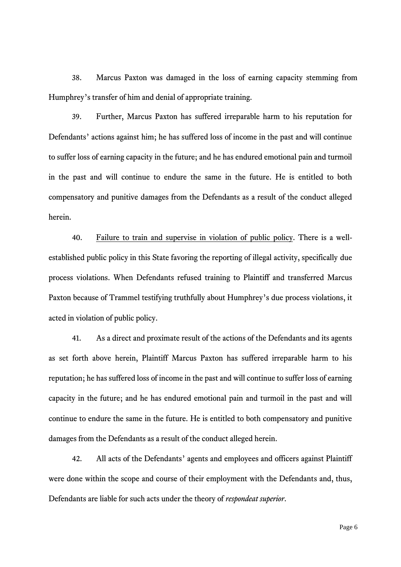38. Marcus Paxton was damaged in the loss of earning capacity stemming from Humphrey's transfer of him and denial of appropriate training.

39. Further, Marcus Paxton has suffered irreparable harm to his reputation for Defendants' actions against him; he has suffered loss of income in the past and will continue to suffer loss of earning capacity in the future; and he has endured emotional pain and turmoil in the past and will continue to endure the same in the future. He is entitled to both compensatory and punitive damages from the Defendants as a result of the conduct alleged herein.

40. Failure to train and supervise in violation of public policy. There is a wellestablished public policy in this State favoring the reporting of illegal activity, specifically due process violations. When Defendants refused training to Plaintiff and transferred Marcus Paxton because of Trammel testifying truthfully about Humphrey's due process violations, it acted in violation of public policy.

41. As a direct and proximate result of the actions of the Defendants and its agents as set forth above herein, Plaintiff Marcus Paxton has suffered irreparable harm to his reputation; he has suffered loss of income in the past and will continue to suffer loss of earning capacity in the future; and he has endured emotional pain and turmoil in the past and will continue to endure the same in the future. He is entitled to both compensatory and punitive damages from the Defendants as a result of the conduct alleged herein.

42. All acts of the Defendants' agents and employees and officers against Plaintiff were done within the scope and course of their employment with the Defendants and, thus, Defendants are liable for such acts under the theory of *respondeat superior*.

Page 6